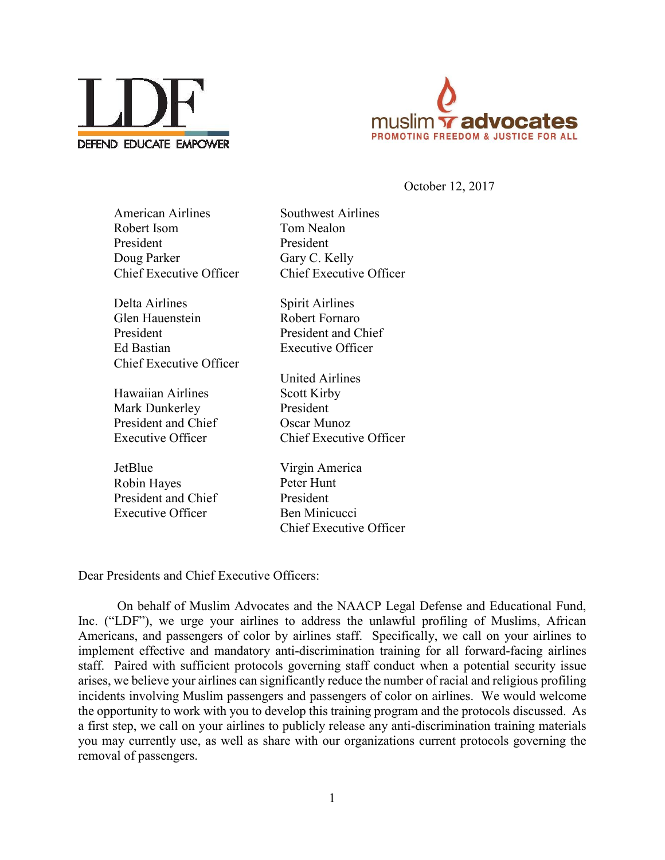



October 12, 2017

| <b>American Airlines</b>       | <b>Southwest Airlines</b>      |
|--------------------------------|--------------------------------|
| Robert Isom                    | Tom Nealon                     |
| President                      | President                      |
| Doug Parker                    | Gary C. Kelly                  |
| <b>Chief Executive Officer</b> | <b>Chief Executive Officer</b> |
| Delta Airlines                 | <b>Spirit Airlines</b>         |
| Glen Hauenstein                | Robert Fornaro                 |
| President                      | President and Chief            |
| Ed Bastian                     | <b>Executive Officer</b>       |
| Chief Executive Officer        |                                |
|                                | <b>United Airlines</b>         |
| <b>Hawaiian Airlines</b>       | <b>Scott Kirby</b>             |
| Mark Dunkerley                 | President                      |
| President and Chief            | Oscar Munoz                    |
| <b>Executive Officer</b>       | Chief Executive Officer        |
| JetBlue                        | Virgin America                 |
| Robin Hayes                    | Peter Hunt                     |
| President and Chief            | President                      |
| Executive Officer              | Ben Minicucci                  |

Dear Presidents and Chief Executive Officers:

On behalf of Muslim Advocates and the NAACP Legal Defense and Educational Fund, Inc. ("LDF"), we urge your airlines to address the unlawful profiling of Muslims, African Americans, and passengers of color by airlines staff. Specifically, we call on your airlines to implement effective and mandatory anti-discrimination training for all forward-facing airlines staff. Paired with sufficient protocols governing staff conduct when a potential security issue arises, we believe your airlines can significantly reduce the number of racial and religious profiling incidents involving Muslim passengers and passengers of color on airlines. We would welcome the opportunity to work with you to develop this training program and the protocols discussed. As a first step, we call on your airlines to publicly release any anti-discrimination training materials you may currently use, as well as share with our organizations current protocols governing the removal of passengers.

Chief Executive Officer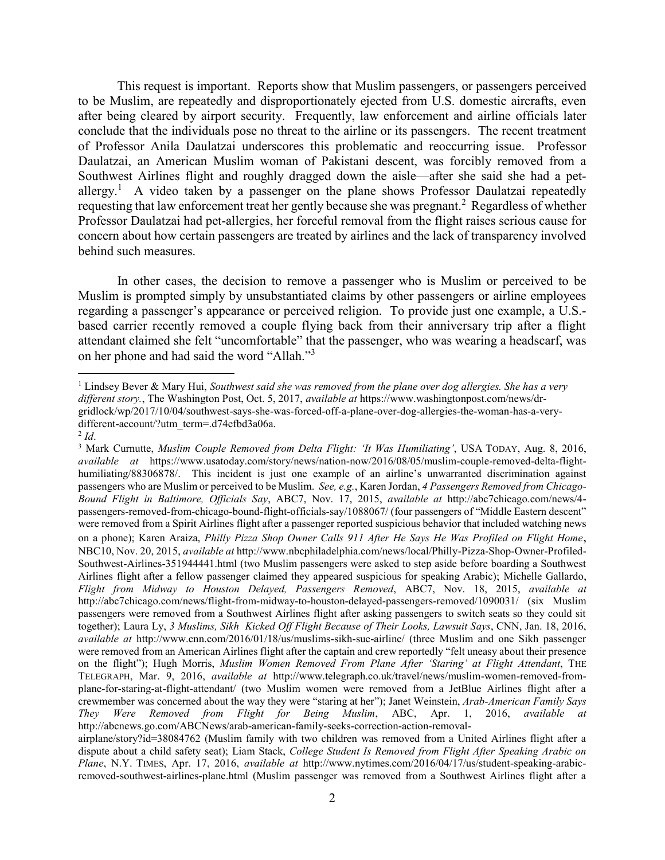This request is important. Reports show that Muslim passengers, or passengers perceived to be Muslim, are repeatedly and disproportionately ejected from U.S. domestic aircrafts, even after being cleared by airport security. Frequently, law enforcement and airline officials later conclude that the individuals pose no threat to the airline or its passengers. The recent treatment of Professor Anila Daulatzai underscores this problematic and reoccurring issue. Professor Daulatzai, an American Muslim woman of Pakistani descent, was forcibly removed from a Southwest Airlines flight and roughly dragged down the aisle—after she said she had a petallergy.<sup>1</sup> A video taken by a passenger on the plane shows Professor Daulatzai repeatedly requesting that law enforcement treat her gently because she was pregnant.<sup>2</sup> Regardless of whether Professor Daulatzai had pet-allergies, her forceful removal from the flight raises serious cause for concern about how certain passengers are treated by airlines and the lack of transparency involved behind such measures.

In other cases, the decision to remove a passenger who is Muslim or perceived to be Muslim is prompted simply by unsubstantiated claims by other passengers or airline employees regarding a passenger's appearance or perceived religion. To provide just one example, a U.S. based carrier recently removed a couple flying back from their anniversary trip after a flight attendant claimed she felt "uncomfortable" that the passenger, who was wearing a headscarf, was on her phone and had said the word "Allah."<sup>3</sup>

 $\overline{a}$ 

<sup>1</sup> Lindsey Bever & Mary Hui, *Southwest said she was removed from the plane over dog allergies. She has a very different story.*, The Washington Post, Oct. 5, 2017, *available at* https://www.washingtonpost.com/news/drgridlock/wp/2017/10/04/southwest-says-she-was-forced-off-a-plane-over-dog-allergies-the-woman-has-a-verydifferent-account/?utm\_term=.d74efbd3a06a.

 $^{2}$ *Id*.

<sup>3</sup> Mark Curnutte, *Muslim Couple Removed from Delta Flight: 'It Was Humiliating'*, USA TODAY, Aug. 8, 2016, *available at* https://www.usatoday.com/story/news/nation-now/2016/08/05/muslim-couple-removed-delta-flighthumiliating/88306878/. This incident is just one example of an airline's unwarranted discrimination against passengers who are Muslim or perceived to be Muslim. *See, e.g.*, Karen Jordan, *4 Passengers Removed from Chicago-Bound Flight in Baltimore, Officials Say*, ABC7, Nov. 17, 2015, *available at* http://abc7chicago.com/news/4 passengers-removed-from-chicago-bound-flight-officials-say/1088067/ (four passengers of "Middle Eastern descent" were removed from a Spirit Airlines flight after a passenger reported suspicious behavior that included watching news on a phone); Karen Araiza, *Philly Pizza Shop Owner Calls 911 After He Says He Was Profiled on Flight Home*, NBC10, Nov. 20, 2015, *available at* http://www.nbcphiladelphia.com/news/local/Philly-Pizza-Shop-Owner-Profiled-Southwest-Airlines-351944441.html (two Muslim passengers were asked to step aside before boarding a Southwest Airlines flight after a fellow passenger claimed they appeared suspicious for speaking Arabic); Michelle Gallardo, *Flight from Midway to Houston Delayed, Passengers Removed*, ABC7, Nov. 18, 2015, *available at*  http://abc7chicago.com/news/flight-from-midway-to-houston-delayed-passengers-removed/1090031/ (six Muslim passengers were removed from a Southwest Airlines flight after asking passengers to switch seats so they could sit together); Laura Ly, *3 Muslims, Sikh Kicked Off Flight Because of Their Looks, Lawsuit Says*, CNN, Jan. 18, 2016, *available at* http://www.cnn.com/2016/01/18/us/muslims-sikh-sue-airline/ (three Muslim and one Sikh passenger were removed from an American Airlines flight after the captain and crew reportedly "felt uneasy about their presence on the flight"); Hugh Morris, *Muslim Women Removed From Plane After 'Staring' at Flight Attendant*, THE TELEGRAPH, Mar. 9, 2016, *available at* http://www.telegraph.co.uk/travel/news/muslim-women-removed-fromplane-for-staring-at-flight-attendant/ (two Muslim women were removed from a JetBlue Airlines flight after a crewmember was concerned about the way they were "staring at her"); Janet Weinstein, *Arab-American Family Says They Were Removed from Flight for Being Muslim*, ABC, Apr. 1, 2016, *available at*  http://abcnews.go.com/ABCNews/arab-american-family-seeks-correction-action-removal-

airplane/story?id=38084762 (Muslim family with two children was removed from a United Airlines flight after a dispute about a child safety seat); Liam Stack, *College Student Is Removed from Flight After Speaking Arabic on Plane*, N.Y. TIMES, Apr. 17, 2016, *available at* http://www.nytimes.com/2016/04/17/us/student-speaking-arabicremoved-southwest-airlines-plane.html (Muslim passenger was removed from a Southwest Airlines flight after a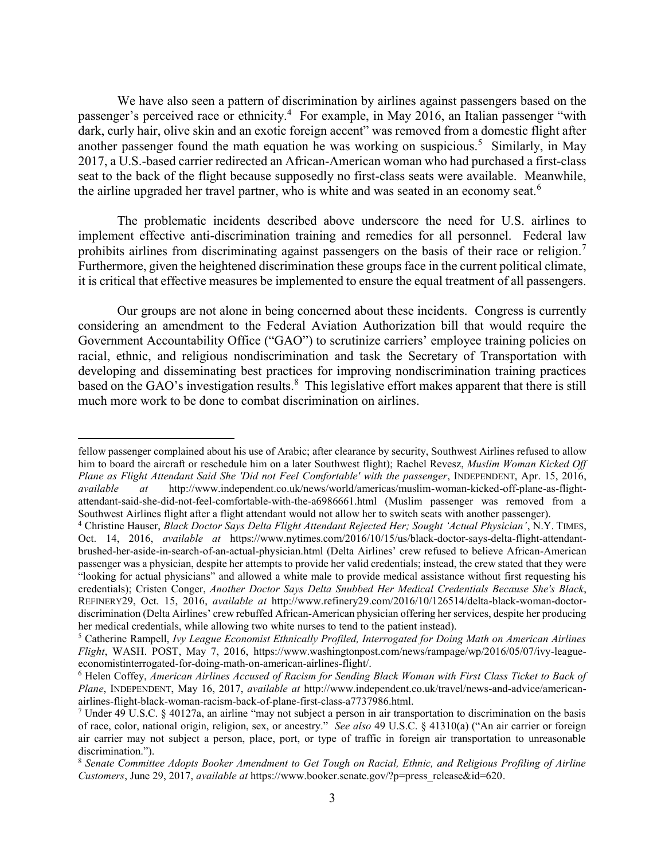We have also seen a pattern of discrimination by airlines against passengers based on the passenger's perceived race or ethnicity.<sup>4</sup> For example, in May 2016, an Italian passenger "with dark, curly hair, olive skin and an exotic foreign accent" was removed from a domestic flight after another passenger found the math equation he was working on suspicious.<sup>5</sup> Similarly, in May 2017, a U.S.-based carrier redirected an African-American woman who had purchased a first-class seat to the back of the flight because supposedly no first-class seats were available. Meanwhile, the airline upgraded her travel partner, who is white and was seated in an economy seat.<sup>6</sup>

The problematic incidents described above underscore the need for U.S. airlines to implement effective anti-discrimination training and remedies for all personnel. Federal law prohibits airlines from discriminating against passengers on the basis of their race or religion.<sup>7</sup> Furthermore, given the heightened discrimination these groups face in the current political climate, it is critical that effective measures be implemented to ensure the equal treatment of all passengers.

Our groups are not alone in being concerned about these incidents. Congress is currently considering an amendment to the Federal Aviation Authorization bill that would require the Government Accountability Office ("GAO") to scrutinize carriers' employee training policies on racial, ethnic, and religious nondiscrimination and task the Secretary of Transportation with developing and disseminating best practices for improving nondiscrimination training practices based on the GAO's investigation results.<sup>8</sup> This legislative effort makes apparent that there is still much more work to be done to combat discrimination on airlines.

 $\overline{a}$ 

fellow passenger complained about his use of Arabic; after clearance by security, Southwest Airlines refused to allow him to board the aircraft or reschedule him on a later Southwest flight); Rachel Revesz, *Muslim Woman Kicked Off Plane as Flight Attendant Said She 'Did not Feel Comfortable' with the passenger*, INDEPENDENT, Apr. 15, 2016, *available at* http://www.independent.co.uk/news/world/americas/muslim-woman-kicked-off-plane-as-flightattendant-said-she-did-not-feel-comfortable-with-the-a6986661.html (Muslim passenger was removed from a Southwest Airlines flight after a flight attendant would not allow her to switch seats with another passenger).

<sup>4</sup> Christine Hauser, *Black Doctor Says Delta Flight Attendant Rejected Her; Sought 'Actual Physician'*, N.Y. TIMES, Oct. 14, 2016, *available at* https://www.nytimes.com/2016/10/15/us/black-doctor-says-delta-flight-attendantbrushed-her-aside-in-search-of-an-actual-physician.html (Delta Airlines' crew refused to believe African-American passenger was a physician, despite her attempts to provide her valid credentials; instead, the crew stated that they were "looking for actual physicians" and allowed a white male to provide medical assistance without first requesting his credentials); Cristen Conger, *Another Doctor Says Delta Snubbed Her Medical Credentials Because She's Black*, REFINERY29, Oct. 15, 2016, *available at* http://www.refinery29.com/2016/10/126514/delta-black-woman-doctordiscrimination (Delta Airlines' crew rebuffed African-American physician offering her services, despite her producing her medical credentials, while allowing two white nurses to tend to the patient instead).

<sup>5</sup> Catherine Rampell, *Ivy League Economist Ethnically Profiled, Interrogated for Doing Math on American Airlines Flight*, WASH. POST, May 7, 2016, https://www.washingtonpost.com/news/rampage/wp/2016/05/07/ivy-leagueeconomistinterrogated-for-doing-math-on-american-airlines-flight/.

<sup>6</sup> Helen Coffey, *American Airlines Accused of Racism for Sending Black Woman with First Class Ticket to Back of Plane*, INDEPENDENT, May 16, 2017, *available at* http://www.independent.co.uk/travel/news-and-advice/americanairlines-flight-black-woman-racism-back-of-plane-first-class-a7737986.html.

<sup>7</sup> Under 49 U.S.C. § 40127a, an airline "may not subject a person in air transportation to discrimination on the basis of race, color, national origin, religion, sex, or ancestry." *See also* 49 U.S.C. § 41310(a) ("An air carrier or foreign air carrier may not subject a person, place, port, or type of traffic in foreign air transportation to unreasonable discrimination.").

<sup>8</sup> *Senate Committee Adopts Booker Amendment to Get Tough on Racial, Ethnic, and Religious Profiling of Airline Customers*, June 29, 2017, *available at* https://www.booker.senate.gov/?p=press\_release&id=620.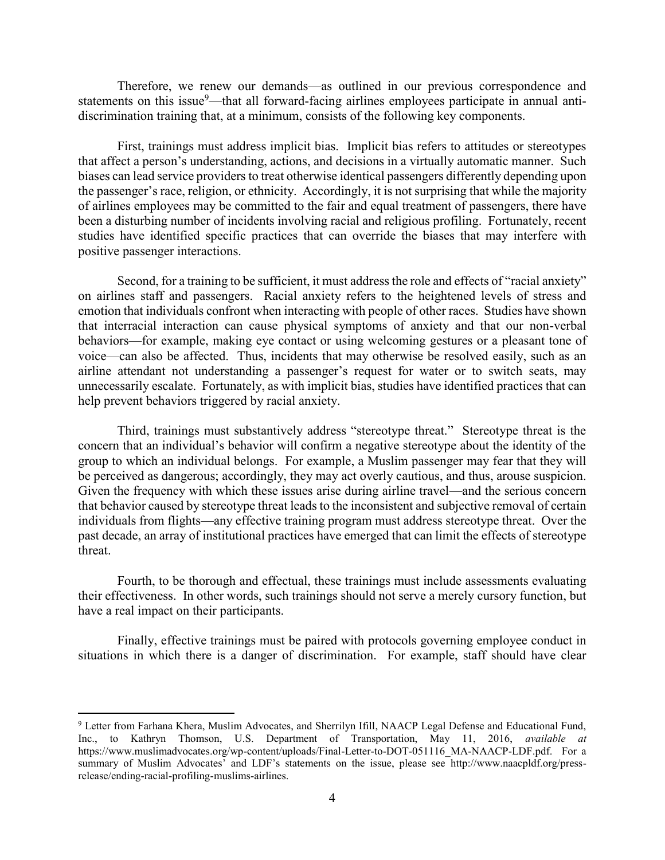Therefore, we renew our demands—as outlined in our previous correspondence and statements on this issue<sup>9</sup>—that all forward-facing airlines employees participate in annual antidiscrimination training that, at a minimum, consists of the following key components.

First, trainings must address implicit bias. Implicit bias refers to attitudes or stereotypes that affect a person's understanding, actions, and decisions in a virtually automatic manner. Such biases can lead service providers to treat otherwise identical passengers differently depending upon the passenger's race, religion, or ethnicity. Accordingly, it is not surprising that while the majority of airlines employees may be committed to the fair and equal treatment of passengers, there have been a disturbing number of incidents involving racial and religious profiling. Fortunately, recent studies have identified specific practices that can override the biases that may interfere with positive passenger interactions.

Second, for a training to be sufficient, it must address the role and effects of "racial anxiety" on airlines staff and passengers. Racial anxiety refers to the heightened levels of stress and emotion that individuals confront when interacting with people of other races. Studies have shown that interracial interaction can cause physical symptoms of anxiety and that our non-verbal behaviors—for example, making eye contact or using welcoming gestures or a pleasant tone of voice—can also be affected. Thus, incidents that may otherwise be resolved easily, such as an airline attendant not understanding a passenger's request for water or to switch seats, may unnecessarily escalate. Fortunately, as with implicit bias, studies have identified practices that can help prevent behaviors triggered by racial anxiety.

Third, trainings must substantively address "stereotype threat." Stereotype threat is the concern that an individual's behavior will confirm a negative stereotype about the identity of the group to which an individual belongs. For example, a Muslim passenger may fear that they will be perceived as dangerous; accordingly, they may act overly cautious, and thus, arouse suspicion. Given the frequency with which these issues arise during airline travel—and the serious concern that behavior caused by stereotype threat leads to the inconsistent and subjective removal of certain individuals from flights—any effective training program must address stereotype threat. Over the past decade, an array of institutional practices have emerged that can limit the effects of stereotype threat.

Fourth, to be thorough and effectual, these trainings must include assessments evaluating their effectiveness. In other words, such trainings should not serve a merely cursory function, but have a real impact on their participants.

Finally, effective trainings must be paired with protocols governing employee conduct in situations in which there is a danger of discrimination. For example, staff should have clear

 $\overline{a}$ 

<sup>9</sup> Letter from Farhana Khera, Muslim Advocates, and Sherrilyn Ifill, NAACP Legal Defense and Educational Fund, Inc., to Kathryn Thomson, U.S. Department of Transportation, May 11, 2016, *available at* https://www.muslimadvocates.org/wp-content/uploads/Final-Letter-to-DOT-051116 MA-NAACP-LDF.pdf. For a summary of Muslim Advocates' and LDF's statements on the issue, please see http://www.naacpldf.org/pressrelease/ending-racial-profiling-muslims-airlines.